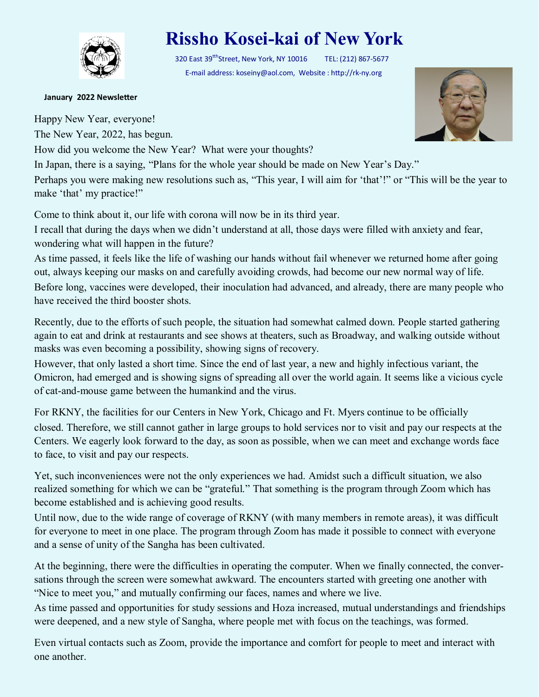

## **Rissho Kosei-kai of New York**

320 East 39<sup>tth</sup>Street, New York, NY 10016 TEL: (212) 867-5677 E-mail address: koseiny@aol.com, Website : http://rk-ny.org

## **January 2022 Newsletter**

Happy New Year, everyone!

The New Year, 2022, has begun.

How did you welcome the New Year? What were your thoughts?

In Japan, there is a saying, "Plans for the whole year should be made on New Year's Day."

Perhaps you were making new resolutions such as, "This year, I will aim for 'that'!" or "This will be the year to make 'that' my practice!"

Come to think about it, our life with corona will now be in its third year.

I recall that during the days when we didn't understand at all, those days were filled with anxiety and fear, wondering what will happen in the future?

As time passed, it feels like the life of washing our hands without fail whenever we returned home after going out, always keeping our masks on and carefully avoiding crowds, had become our new normal way of life. Before long, vaccines were developed, their inoculation had advanced, and already, there are many people who have received the third booster shots.

Recently, due to the efforts of such people, the situation had somewhat calmed down. People started gathering again to eat and drink at restaurants and see shows at theaters, such as Broadway, and walking outside without masks was even becoming a possibility, showing signs of recovery.

However, that only lasted a short time. Since the end of last year, a new and highly infectious variant, the Omicron, had emerged and is showing signs of spreading all over the world again. It seems like a vicious cycle of cat-and-mouse game between the humankind and the virus.

For RKNY, the facilities for our Centers in New York, Chicago and Ft. Myers continue to be officially closed. Therefore, we still cannot gather in large groups to hold services nor to visit and pay our respects at the Centers. We eagerly look forward to the day, as soon as possible, when we can meet and exchange words face to face, to visit and pay our respects.

Yet, such inconveniences were not the only experiences we had. Amidst such a difficult situation, we also realized something for which we can be "grateful." That something is the program through Zoom which has become established and is achieving good results.

Until now, due to the wide range of coverage of RKNY (with many members in remote areas), it was difficult for everyone to meet in one place. The program through Zoom has made it possible to connect with everyone and a sense of unity of the Sangha has been cultivated.

At the beginning, there were the difficulties in operating the computer. When we finally connected, the conversations through the screen were somewhat awkward. The encounters started with greeting one another with "Nice to meet you," and mutually confirming our faces, names and where we live.

As time passed and opportunities for study sessions and Hoza increased, mutual understandings and friendships were deepened, and a new style of Sangha, where people met with focus on the teachings, was formed.

Even virtual contacts such as Zoom, provide the importance and comfort for people to meet and interact with one another.